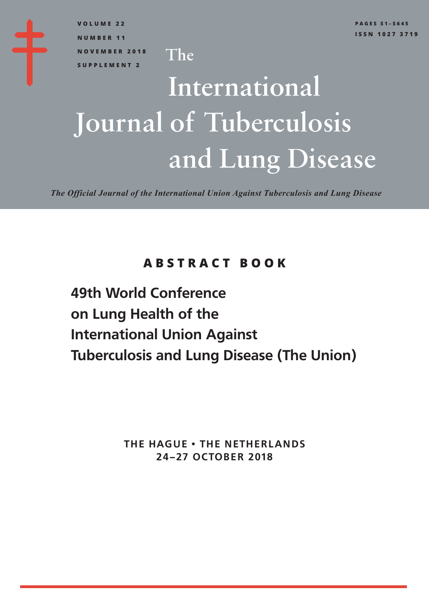**VOLUME 22 NUMBER 11 NOVEMBER 2018 SUPPLEMENT 2**

## International and Lung Disease Journal of Tuberculosis

The

*The Official Journal of the International Union Against Tuberculosis and Lung Disease*

## **ABSTRACT BOOK**

**49th World Conference on Lung Health of the International Union Against Tuberculosis and Lung Disease (The Union)**

> **THE HAGUE • THE NETHERLANDS 24–27 OCTOBER 2018**